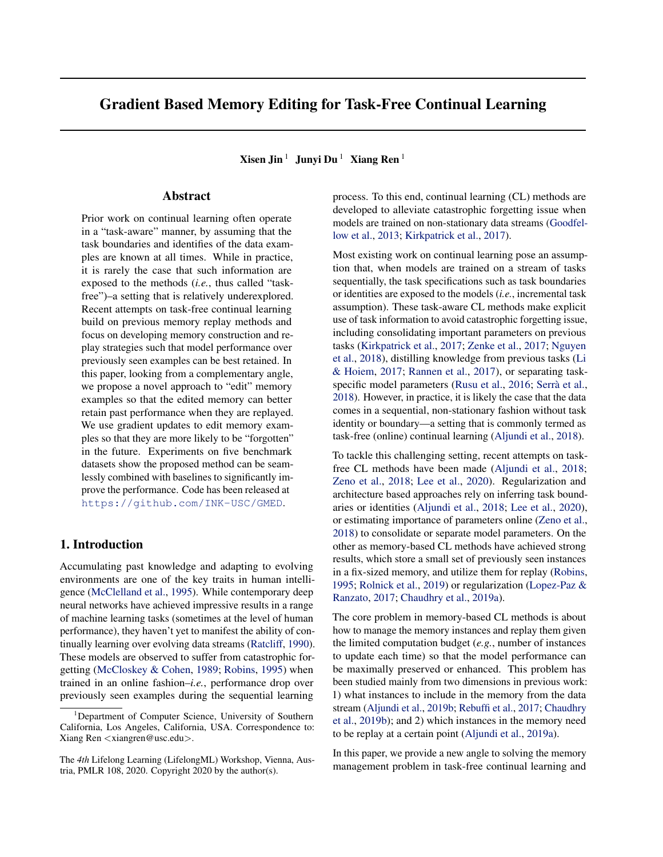# Gradient Based Memory Editing for Task-Free Continual Learning

Xisen Jin<sup>1</sup> Junyi Du<sup>1</sup> Xiang Ren<sup>1</sup>

## Abstract

Prior work on continual learning often operate in a "task-aware" manner, by assuming that the task boundaries and identifies of the data examples are known at all times. While in practice, it is rarely the case that such information are exposed to the methods (*i.e.*, thus called "taskfree")–a setting that is relatively underexplored. Recent attempts on task-free continual learning build on previous memory replay methods and focus on developing memory construction and replay strategies such that model performance over previously seen examples can be best retained. In this paper, looking from a complementary angle, we propose a novel approach to "edit" memory examples so that the edited memory can better retain past performance when they are replayed. We use gradient updates to edit memory examples so that they are more likely to be "forgotten" in the future. Experiments on five benchmark datasets show the proposed method can be seamlessly combined with baselines to significantly improve the performance. Code has been released at <https://github.com/INK-USC/GMED>.

## 1. Introduction

Accumulating past knowledge and adapting to evolving environments are one of the key traits in human intelligence [\(McClelland et al.,](#page-8-0) [1995\)](#page-8-0). While contemporary deep neural networks have achieved impressive results in a range of machine learning tasks (sometimes at the level of human performance), they haven't yet to manifest the ability of continually learning over evolving data streams [\(Ratcliff,](#page-8-0) [1990\)](#page-8-0). These models are observed to suffer from catastrophic forgetting [\(McCloskey & Cohen,](#page-8-0) [1989;](#page-8-0) [Robins,](#page-8-0) [1995\)](#page-8-0) when trained in an online fashion–*i.e.*, performance drop over previously seen examples during the sequential learning

process. To this end, continual learning (CL) methods are developed to alleviate catastrophic forgetting issue when models are trained on non-stationary data streams [\(Goodfel](#page-8-0)[low et al.,](#page-8-0) [2013;](#page-8-0) [Kirkpatrick et al.,](#page-8-0) [2017\)](#page-8-0).

Most existing work on continual learning pose an assumption that, when models are trained on a stream of tasks sequentially, the task specifications such as task boundaries or identities are exposed to the models (*i.e.*, incremental task assumption). These task-aware CL methods make explicit use of task information to avoid catastrophic forgetting issue, including consolidating important parameters on previous tasks [\(Kirkpatrick et al.,](#page-8-0) [2017;](#page-8-0) [Zenke et al.,](#page-9-0) [2017;](#page-9-0) [Nguyen](#page-8-0) [et al.,](#page-8-0) [2018\)](#page-8-0), distilling knowledge from previous tasks [\(Li](#page-8-0) [& Hoiem,](#page-8-0) [2017;](#page-8-0) [Rannen et al.,](#page-8-0) [2017\)](#page-8-0), or separating task-specific model parameters [\(Rusu et al.,](#page-9-0) [2016;](#page-9-0) Serrà et al., [2018\)](#page-9-0). However, in practice, it is likely the case that the data comes in a sequential, non-stationary fashion without task identity or boundary—a setting that is commonly termed as task-free (online) continual learning [\(Aljundi et al.,](#page-8-0) [2018\)](#page-8-0).

To tackle this challenging setting, recent attempts on taskfree CL methods have been made [\(Aljundi et al.,](#page-8-0) [2018;](#page-8-0) [Zeno et al.,](#page-9-0) [2018;](#page-9-0) [Lee et al.,](#page-8-0) [2020\)](#page-8-0). Regularization and architecture based approaches rely on inferring task boundaries or identities [\(Aljundi et al.,](#page-8-0) [2018;](#page-8-0) [Lee et al.,](#page-8-0) [2020\)](#page-8-0), or estimating importance of parameters online [\(Zeno et al.,](#page-9-0) [2018\)](#page-9-0) to consolidate or separate model parameters. On the other as memory-based CL methods have achieved strong results, which store a small set of previously seen instances in a fix-sized memory, and utilize them for replay [\(Robins,](#page-8-0) [1995;](#page-8-0) [Rolnick et al.,](#page-9-0) [2019\)](#page-9-0) or regularization [\(Lopez-Paz &](#page-8-0) [Ranzato,](#page-8-0) [2017;](#page-8-0) [Chaudhry et al.,](#page-8-0) [2019a\)](#page-8-0).

The core problem in memory-based CL methods is about how to manage the memory instances and replay them given the limited computation budget (*e.g.*, number of instances to update each time) so that the model performance can be maximally preserved or enhanced. This problem has been studied mainly from two dimensions in previous work: 1) what instances to include in the memory from the data stream [\(Aljundi et al.,](#page-8-0) [2019b;](#page-8-0) [Rebuffi et al.,](#page-8-0) [2017;](#page-8-0) [Chaudhry](#page-8-0) [et al.,](#page-8-0) [2019b\)](#page-8-0); and 2) which instances in the memory need to be replay at a certain point [\(Aljundi et al.,](#page-8-0) [2019a\)](#page-8-0).

In this paper, we provide a new angle to solving the memory management problem in task-free continual learning and

<sup>&</sup>lt;sup>1</sup>Department of Computer Science, University of Southern California, Los Angeles, California, USA. Correspondence to: Xiang Ren <xiangren@usc.edu>.

The *4th* Lifelong Learning (LifelongML) Workshop, Vienna, Austria, PMLR 108, 2020. Copyright 2020 by the author(s).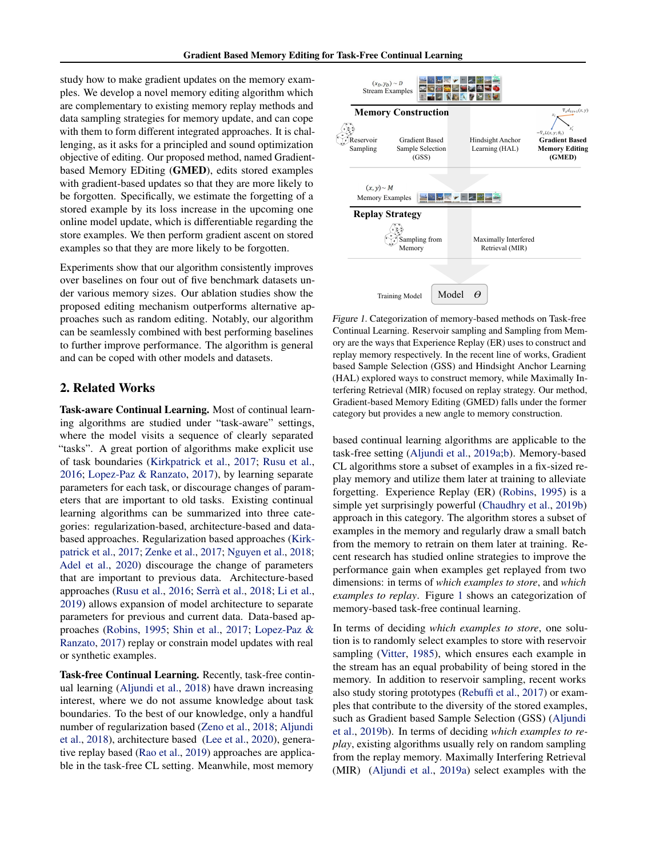study how to make gradient updates on the memory examples. We develop a novel memory editing algorithm which are complementary to existing memory replay methods and data sampling strategies for memory update, and can cope with them to form different integrated approaches. It is challenging, as it asks for a principled and sound optimization objective of editing. Our proposed method, named Gradientbased Memory EDiting (GMED), edits stored examples with gradient-based updates so that they are more likely to be forgotten. Specifically, we estimate the forgetting of a stored example by its loss increase in the upcoming one online model update, which is differentiable regarding the store examples. We then perform gradient ascent on stored examples so that they are more likely to be forgotten.

Experiments show that our algorithm consistently improves over baselines on four out of five benchmark datasets under various memory sizes. Our ablation studies show the proposed editing mechanism outperforms alternative approaches such as random editing. Notably, our algorithm can be seamlessly combined with best performing baselines to further improve performance. The algorithm is general and can be coped with other models and datasets.

## 2. Related Works

Task-aware Continual Learning. Most of continual learning algorithms are studied under "task-aware" settings, where the model visits a sequence of clearly separated "tasks". A great portion of algorithms make explicit use of task boundaries [\(Kirkpatrick et al.,](#page-8-0) [2017;](#page-8-0) [Rusu et al.,](#page-9-0) [2016;](#page-9-0) [Lopez-Paz & Ranzato,](#page-8-0) [2017\)](#page-8-0), by learning separate parameters for each task, or discourage changes of parameters that are important to old tasks. Existing continual learning algorithms can be summarized into three categories: regularization-based, architecture-based and databased approaches. Regularization based approaches [\(Kirk](#page-8-0)[patrick et al.,](#page-8-0) [2017;](#page-8-0) [Zenke et al.,](#page-9-0) [2017;](#page-9-0) [Nguyen et al.,](#page-8-0) [2018;](#page-8-0) [Adel et al.,](#page-8-0) [2020\)](#page-8-0) discourage the change of parameters that are important to previous data. Architecture-based approaches [\(Rusu et al.,](#page-9-0) [2016;](#page-9-0) Serrà et al., [2018;](#page-9-0) [Li et al.,](#page-8-0) [2019\)](#page-8-0) allows expansion of model architecture to separate parameters for previous and current data. Data-based approaches [\(Robins,](#page-8-0) [1995;](#page-8-0) [Shin et al.,](#page-9-0) [2017;](#page-9-0) [Lopez-Paz &](#page-8-0) [Ranzato,](#page-8-0) [2017\)](#page-8-0) replay or constrain model updates with real or synthetic examples.

Task-free Continual Learning. Recently, task-free continual learning [\(Aljundi et al.,](#page-8-0) [2018\)](#page-8-0) have drawn increasing interest, where we do not assume knowledge about task boundaries. To the best of our knowledge, only a handful number of regularization based [\(Zeno et al.,](#page-9-0) [2018;](#page-9-0) [Aljundi](#page-8-0) [et al.,](#page-8-0) [2018\)](#page-8-0), architecture based [\(Lee et al.,](#page-8-0) [2020\)](#page-8-0), generative replay based [\(Rao et al.,](#page-8-0) [2019\)](#page-8-0) approaches are applicable in the task-free CL setting. Meanwhile, most memory



Figure 1. Categorization of memory-based methods on Task-free Continual Learning. Reservoir sampling and Sampling from Memory are the ways that Experience Replay (ER) uses to construct and replay memory respectively. In the recent line of works, Gradient based Sample Selection (GSS) and Hindsight Anchor Learning (HAL) explored ways to construct memory, while Maximally Interfering Retrieval (MIR) focused on replay strategy. Our method, Gradient-based Memory Editing (GMED) falls under the former category but provides a new angle to memory construction.

based continual learning algorithms are applicable to the task-free setting [\(Aljundi et al.,](#page-8-0) [2019a;b\)](#page-8-0). Memory-based CL algorithms store a subset of examples in a fix-sized replay memory and utilize them later at training to alleviate forgetting. Experience Replay (ER) [\(Robins,](#page-8-0) [1995\)](#page-8-0) is a simple yet surprisingly powerful [\(Chaudhry et al.,](#page-8-0) [2019b\)](#page-8-0) approach in this category. The algorithm stores a subset of examples in the memory and regularly draw a small batch from the memory to retrain on them later at training. Recent research has studied online strategies to improve the performance gain when examples get replayed from two dimensions: in terms of *which examples to store*, and *which examples to replay*. Figure 1 shows an categorization of memory-based task-free continual learning.

In terms of deciding *which examples to store*, one solution is to randomly select examples to store with reservoir sampling [\(Vitter,](#page-9-0) [1985\)](#page-9-0), which ensures each example in the stream has an equal probability of being stored in the memory. In addition to reservoir sampling, recent works also study storing prototypes [\(Rebuffi et al.,](#page-8-0) [2017\)](#page-8-0) or examples that contribute to the diversity of the stored examples, such as Gradient based Sample Selection (GSS) [\(Aljundi](#page-8-0) [et al.,](#page-8-0) [2019b\)](#page-8-0). In terms of deciding *which examples to replay*, existing algorithms usually rely on random sampling from the replay memory. Maximally Interfering Retrieval (MIR) [\(Aljundi et al.,](#page-8-0) [2019a\)](#page-8-0) select examples with the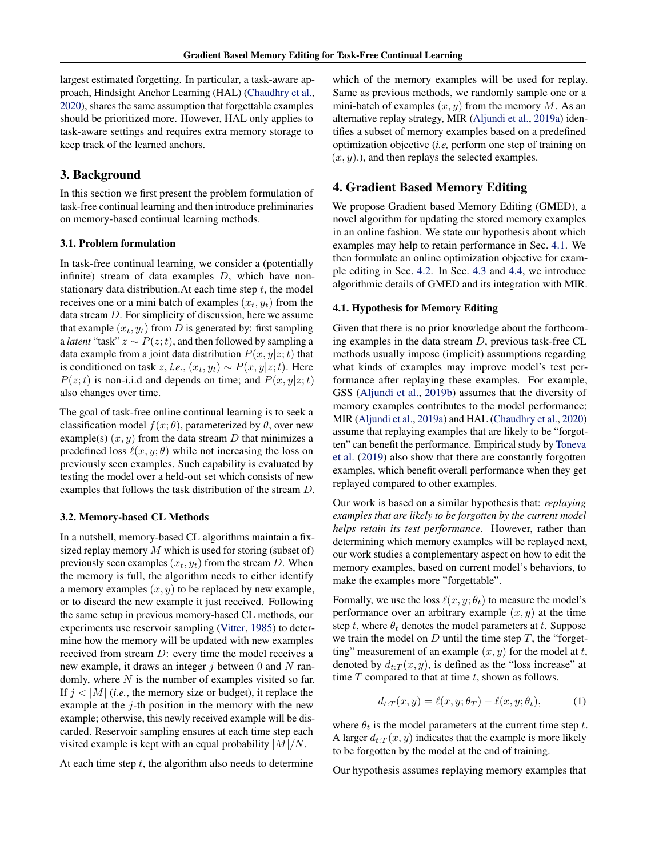largest estimated forgetting. In particular, a task-aware approach, Hindsight Anchor Learning (HAL) [\(Chaudhry et al.,](#page-8-0) [2020\)](#page-8-0), shares the same assumption that forgettable examples should be prioritized more. However, HAL only applies to task-aware settings and requires extra memory storage to keep track of the learned anchors.

## 3. Background

In this section we first present the problem formulation of task-free continual learning and then introduce preliminaries on memory-based continual learning methods.

## 3.1. Problem formulation

In task-free continual learning, we consider a (potentially infinite) stream of data examples  $D$ , which have nonstationary data distribution. At each time step  $t$ , the model receives one or a mini batch of examples  $(x_t, y_t)$  from the data stream D. For simplicity of discussion, here we assume that example  $(x_t, y_t)$  from D is generated by: first sampling a *latent* "task"  $z \sim P(z; t)$ , and then followed by sampling a data example from a joint data distribution  $P(x, y|z; t)$  that is conditioned on task z, *i.e.*,  $(x_t, y_t) \sim P(x, y|z; t)$ . Here  $P(z; t)$  is non-i.i.d and depends on time; and  $P(x, y|z; t)$ also changes over time.

The goal of task-free online continual learning is to seek a classification model  $f(x; \theta)$ , parameterized by  $\theta$ , over new example(s)  $(x, y)$  from the data stream D that minimizes a predefined loss  $\ell(x, y; \theta)$  while not increasing the loss on previously seen examples. Such capability is evaluated by testing the model over a held-out set which consists of new examples that follows the task distribution of the stream D.

#### 3.2. Memory-based CL Methods

In a nutshell, memory-based CL algorithms maintain a fixsized replay memory  $M$  which is used for storing (subset of) previously seen examples  $(x_t, y_t)$  from the stream D. When the memory is full, the algorithm needs to either identify a memory examples  $(x, y)$  to be replaced by new example, or to discard the new example it just received. Following the same setup in previous memory-based CL methods, our experiments use reservoir sampling [\(Vitter,](#page-9-0) [1985\)](#page-9-0) to determine how the memory will be updated with new examples received from stream D: every time the model receives a new example, it draws an integer  $j$  between 0 and  $N$  randomly, where  $N$  is the number of examples visited so far. If  $j < |M|$  (*i.e.*, the memory size or budget), it replace the example at the  $j$ -th position in the memory with the new example; otherwise, this newly received example will be discarded. Reservoir sampling ensures at each time step each visited example is kept with an equal probability  $|M|/N$ .

At each time step  $t$ , the algorithm also needs to determine

which of the memory examples will be used for replay. Same as previous methods, we randomly sample one or a mini-batch of examples  $(x, y)$  from the memory M. As an alternative replay strategy, MIR [\(Aljundi et al.,](#page-8-0) [2019a\)](#page-8-0) identifies a subset of memory examples based on a predefined optimization objective (*i.e,* perform one step of training on  $(x, y)$ .), and then replays the selected examples.

## 4. Gradient Based Memory Editing

We propose Gradient based Memory Editing (GMED), a novel algorithm for updating the stored memory examples in an online fashion. We state our hypothesis about which examples may help to retain performance in Sec. 4.1. We then formulate an online optimization objective for example editing in Sec. [4.2.](#page-3-0) In Sec. [4.3](#page-3-0) and [4.4,](#page-4-0) we introduce algorithmic details of GMED and its integration with MIR.

#### 4.1. Hypothesis for Memory Editing

Given that there is no prior knowledge about the forthcoming examples in the data stream  $D$ , previous task-free CL methods usually impose (implicit) assumptions regarding what kinds of examples may improve model's test performance after replaying these examples. For example, GSS [\(Aljundi et al.,](#page-8-0) [2019b\)](#page-8-0) assumes that the diversity of memory examples contributes to the model performance; MIR [\(Aljundi et al.,](#page-8-0) [2019a\)](#page-8-0) and HAL [\(Chaudhry et al.,](#page-8-0) [2020\)](#page-8-0) assume that replaying examples that are likely to be "forgotten" can benefit the performance. Empirical study by [Toneva](#page-9-0) [et al.](#page-9-0) [\(2019\)](#page-9-0) also show that there are constantly forgotten examples, which benefit overall performance when they get replayed compared to other examples.

Our work is based on a similar hypothesis that: *replaying examples that are likely to be forgotten by the current model helps retain its test performance*. However, rather than determining which memory examples will be replayed next, our work studies a complementary aspect on how to edit the memory examples, based on current model's behaviors, to make the examples more "forgettable".

Formally, we use the loss  $\ell(x, y; \theta_t)$  to measure the model's performance over an arbitrary example  $(x, y)$  at the time step t, where  $\theta_t$  denotes the model parameters at t. Suppose we train the model on  $D$  until the time step  $T$ , the "forgetting" measurement of an example  $(x, y)$  for the model at t, denoted by  $d_{t:T}(x, y)$ , is defined as the "loss increase" at time  $T$  compared to that at time  $t$ , shown as follows.

$$
d_{t:T}(x,y) = \ell(x,y;\theta_T) - \ell(x,y;\theta_t),\tag{1}
$$

where  $\theta_t$  is the model parameters at the current time step t. A larger  $d_{t:T}(x, y)$  indicates that the example is more likely to be forgotten by the model at the end of training.

Our hypothesis assumes replaying memory examples that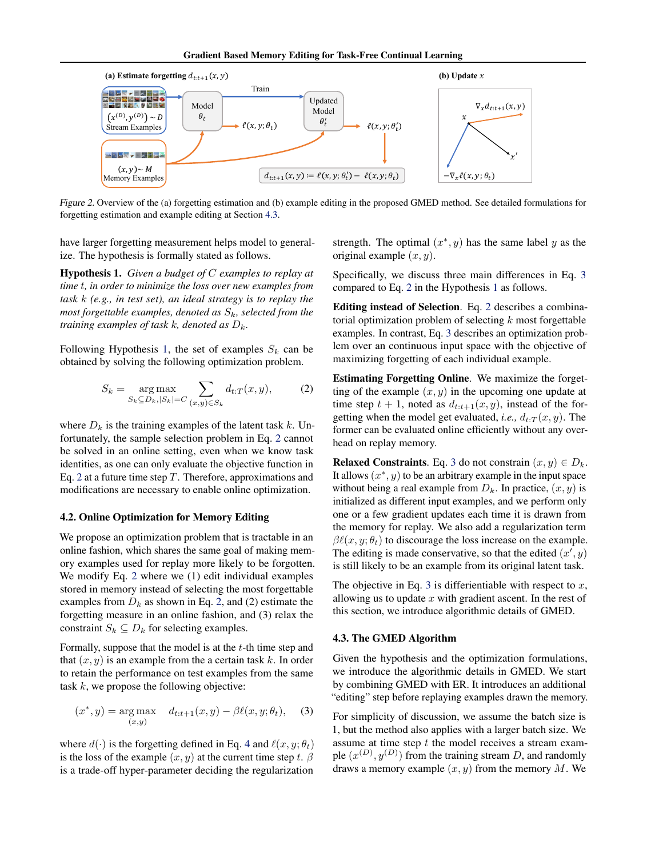<span id="page-3-0"></span>

Figure 2. Overview of the (a) forgetting estimation and (b) example editing in the proposed GMED method. See detailed formulations for forgetting estimation and example editing at Section 4.3.

have larger forgetting measurement helps model to generalize. The hypothesis is formally stated as follows.

Hypothesis 1. *Given a budget of* C *examples to replay at time* t*, in order to minimize the loss over new examples from task* k *(e.g., in test set), an ideal strategy is to replay the most forgettable examples, denoted as*  $S_k$ *, selected from the training examples of task k, denoted as*  $D_k$ .

Following Hypothesis 1, the set of examples  $S_k$  can be obtained by solving the following optimization problem.

$$
S_k = \underset{S_k \subseteq D_k, |S_k| = C}{\arg \max} \sum_{(x,y) \in S_k} d_{t:T}(x,y), \tag{2}
$$

where  $D_k$  is the training examples of the latent task k. Unfortunately, the sample selection problem in Eq. 2 cannot be solved in an online setting, even when we know task identities, as one can only evaluate the objective function in Eq. 2 at a future time step  $T$ . Therefore, approximations and modifications are necessary to enable online optimization.

#### 4.2. Online Optimization for Memory Editing

We propose an optimization problem that is tractable in an online fashion, which shares the same goal of making memory examples used for replay more likely to be forgotten. We modify Eq. 2 where we (1) edit individual examples stored in memory instead of selecting the most forgettable examples from  $D_k$  as shown in Eq. 2, and (2) estimate the forgetting measure in an online fashion, and (3) relax the constraint  $S_k \subseteq D_k$  for selecting examples.

Formally, suppose that the model is at the  $t$ -th time step and that  $(x, y)$  is an example from the a certain task k. In order to retain the performance on test examples from the same task  $k$ , we propose the following objective:

$$
(x^*, y) = \underset{(x,y)}{\arg \max} \quad d_{t:t+1}(x, y) - \beta \ell(x, y; \theta_t), \quad (3)
$$

where  $d(\cdot)$  is the forgetting defined in Eq. [4](#page-4-0) and  $\ell(x, y; \theta_t)$ is the loss of the example  $(x, y)$  at the current time step t.  $\beta$ is a trade-off hyper-parameter deciding the regularization

strength. The optimal  $(x^*, y)$  has the same label y as the original example  $(x, y)$ .

Specifically, we discuss three main differences in Eq. 3 compared to Eq. 2 in the Hypothesis 1 as follows.

Editing instead of Selection. Eq. 2 describes a combinatorial optimization problem of selecting  $k$  most forgettable examples. In contrast, Eq. 3 describes an optimization problem over an continuous input space with the objective of maximizing forgetting of each individual example.

Estimating Forgetting Online. We maximize the forgetting of the example  $(x, y)$  in the upcoming one update at time step  $t + 1$ , noted as  $d_{t:t+1}(x, y)$ , instead of the forgetting when the model get evaluated, *i.e.*,  $d_{t:T}(x, y)$ . The former can be evaluated online efficiently without any overhead on replay memory.

**Relaxed Constraints.** Eq. 3 do not constrain  $(x, y) \in D_k$ . It allows  $(x^*, y)$  to be an arbitrary example in the input space without being a real example from  $D_k$ . In practice,  $(x, y)$  is initialized as different input examples, and we perform only one or a few gradient updates each time it is drawn from the memory for replay. We also add a regularization term  $\beta \ell(x, y; \theta_t)$  to discourage the loss increase on the example. The editing is made conservative, so that the edited  $(x', y)$ is still likely to be an example from its original latent task.

The objective in Eq. 3 is differientiable with respect to  $x$ , allowing us to update  $x$  with gradient ascent. In the rest of this section, we introduce algorithmic details of GMED.

#### 4.3. The GMED Algorithm

Given the hypothesis and the optimization formulations, we introduce the algorithmic details in GMED. We start by combining GMED with ER. It introduces an additional "editing" step before replaying examples drawn the memory.

For simplicity of discussion, we assume the batch size is 1, but the method also applies with a larger batch size. We assume at time step  $t$  the model receives a stream example  $(x^{(D)}, y^{(D)})$  from the training stream D, and randomly draws a memory example  $(x, y)$  from the memory M. We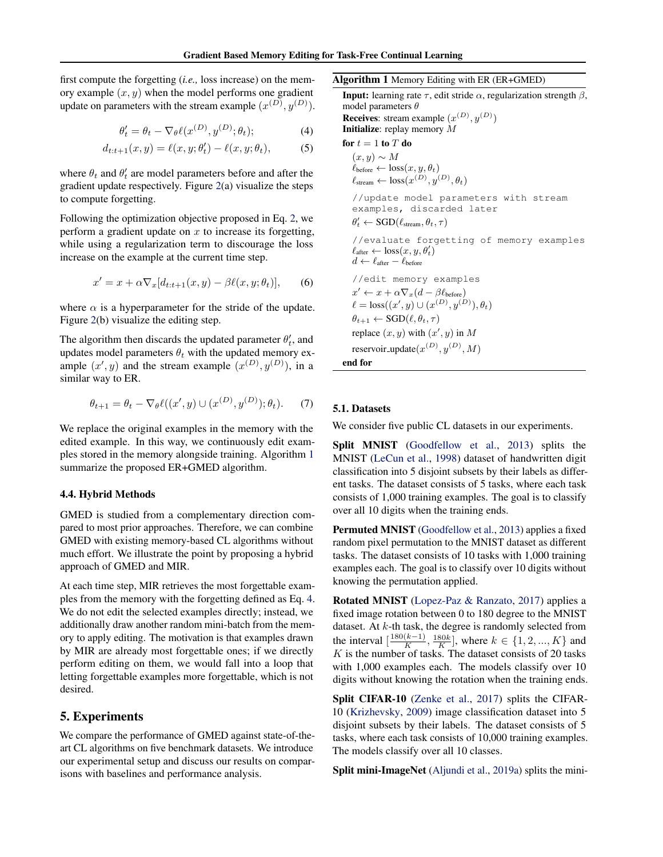<span id="page-4-0"></span>first compute the forgetting (*i.e.,* loss increase) on the memory example  $(x, y)$  when the model performs one gradient update on parameters with the stream example  $(x^{(D)}, y^{(D)})$ .

$$
\theta'_t = \theta_t - \nabla_{\theta} \ell(x^{(D)}, y^{(D)}; \theta_t); \tag{4}
$$

$$
d_{t:t+1}(x,y) = \ell(x,y;\theta'_t) - \ell(x,y;\theta_t), \tag{5}
$$

where  $\theta_t$  and  $\theta'_t$  are model parameters before and after the gradient update respectively. Figure [2\(](#page-3-0)a) visualize the steps to compute forgetting.

Following the optimization objective proposed in Eq. [2,](#page-3-0) we perform a gradient update on  $x$  to increase its forgetting, while using a regularization term to discourage the loss increase on the example at the current time step.

$$
x' = x + \alpha \nabla_x [d_{t:t+1}(x, y) - \beta \ell(x, y; \theta_t)], \qquad (6)
$$

where  $\alpha$  is a hyperparameter for the stride of the update. Figure [2\(](#page-3-0)b) visualize the editing step.

The algorithm then discards the updated parameter  $\theta'_t$ , and updates model parameters  $\theta_t$  with the updated memory example  $(x', y)$  and the stream example  $(x^{(D)}, y^{(D)})$ , in a similar way to ER.

$$
\theta_{t+1} = \theta_t - \nabla_{\theta} \ell((x', y) \cup (x^{(D)}, y^{(D)}); \theta_t). \tag{7}
$$

We replace the original examples in the memory with the edited example. In this way, we continuously edit examples stored in the memory alongside training. Algorithm 1 summarize the proposed ER+GMED algorithm.

#### 4.4. Hybrid Methods

GMED is studied from a complementary direction compared to most prior approaches. Therefore, we can combine GMED with existing memory-based CL algorithms without much effort. We illustrate the point by proposing a hybrid approach of GMED and MIR.

At each time step, MIR retrieves the most forgettable examples from the memory with the forgetting defined as Eq. 4. We do not edit the selected examples directly; instead, we additionally draw another random mini-batch from the memory to apply editing. The motivation is that examples drawn by MIR are already most forgettable ones; if we directly perform editing on them, we would fall into a loop that letting forgettable examples more forgettable, which is not desired.

## 5. Experiments

We compare the performance of GMED against state-of-theart CL algorithms on five benchmark datasets. We introduce our experimental setup and discuss our results on comparisons with baselines and performance analysis.

#### Algorithm 1 Memory Editing with ER (ER+GMED)

**Input:** learning rate  $\tau$ , edit stride  $\alpha$ , regularization strength  $\beta$ , model parameters  $\theta$ **Receives:** stream example  $(x^{(D)}, y^{(D)})$ Initialize: replay memory M for  $t = 1$  to  $T$  do  $(x, y) \sim M$  $\ell_{before} \leftarrow loss(x, y, \theta_t)$  $\ell_{\text{stream}} \leftarrow \text{loss}(x^{(D)}, y^{(D)}, \theta_t)$ //update model parameters with stream examples, discarded later  $\theta'_t \leftarrow \text{SGD}(\ell_{\text{stream}}, \theta_t, \tau)$ //evaluate forgetting of memory examples  $\ell_{\text{after}} \leftarrow \text{loss}(x, y, \theta_t)$  $d \leftarrow \ell_{\text{after}} - \ell_{\text{before}}$ //edit memory examples  $x' \leftarrow x + \alpha \nabla_x (d - \beta \ell_{before})$  $\ell = \text{loss}((x', y) \cup (x^{(D)}, y^{(D)}), \theta_t)$  $\theta_{t+1} \leftarrow \text{SGD}(\ell, \theta_t, \tau)$ replace  $(x, y)$  with  $(x', y)$  in M reservoir\_update $(x^{(D)}, y^{(D)}, M)$ end for

#### 5.1. Datasets

We consider five public CL datasets in our experiments.

Split MNIST [\(Goodfellow et al.,](#page-8-0) [2013\)](#page-8-0) splits the MNIST [\(LeCun et al.,](#page-8-0) [1998\)](#page-8-0) dataset of handwritten digit classification into 5 disjoint subsets by their labels as different tasks. The dataset consists of 5 tasks, where each task consists of 1,000 training examples. The goal is to classify over all 10 digits when the training ends.

Permuted MNIST [\(Goodfellow et al.,](#page-8-0) [2013\)](#page-8-0) applies a fixed random pixel permutation to the MNIST dataset as different tasks. The dataset consists of 10 tasks with 1,000 training examples each. The goal is to classify over 10 digits without knowing the permutation applied.

Rotated MNIST [\(Lopez-Paz & Ranzato,](#page-8-0) [2017\)](#page-8-0) applies a fixed image rotation between 0 to 180 degree to the MNIST dataset. At  $k$ -th task, the degree is randomly selected from the interval  $\left[\frac{180(k-1)}{K}\right]$  $\frac{(k-1)}{K}, \frac{180k}{K}$ , where  $k \in \{1, 2, ..., K\}$  and  $K$  is the number of tasks. The dataset consists of 20 tasks with 1,000 examples each. The models classify over 10 digits without knowing the rotation when the training ends.

Split CIFAR-10 [\(Zenke et al.,](#page-9-0) [2017\)](#page-9-0) splits the CIFAR-10 [\(Krizhevsky,](#page-8-0) [2009\)](#page-8-0) image classification dataset into 5 disjoint subsets by their labels. The dataset consists of 5 tasks, where each task consists of 10,000 training examples. The models classify over all 10 classes.

Split mini-ImageNet [\(Aljundi et al.,](#page-8-0) [2019a\)](#page-8-0) splits the mini-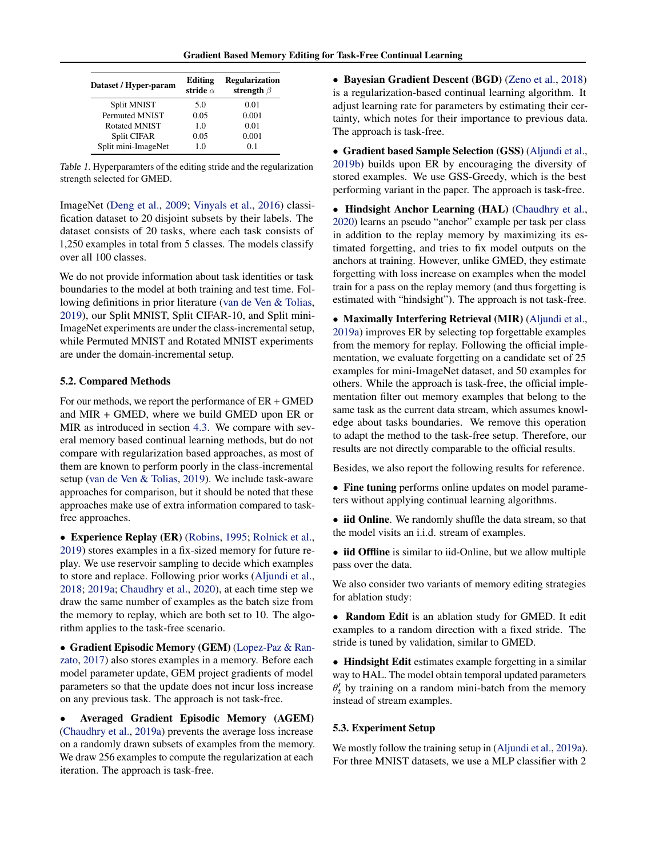<span id="page-5-0"></span>

| Dataset / Hyper-param | Editing<br>stride $\alpha$ | <b>Regularization</b><br>strength $\beta$ |
|-----------------------|----------------------------|-------------------------------------------|
| Split MNIST           | 5.0                        | 0.01                                      |
| <b>Permuted MNIST</b> | 0.05                       | 0.001                                     |
| <b>Rotated MNIST</b>  | 1 <sub>0</sub>             | 0.01                                      |
| Split CIFAR           | 0.05                       | 0.001                                     |
| Split mini-ImageNet   | 10                         | 0.1                                       |

Table 1. Hyperparamters of the editing stride and the regularization strength selected for GMED.

ImageNet [\(Deng et al.,](#page-8-0) [2009;](#page-8-0) [Vinyals et al.,](#page-9-0) [2016\)](#page-9-0) classification dataset to 20 disjoint subsets by their labels. The dataset consists of 20 tasks, where each task consists of 1,250 examples in total from 5 classes. The models classify over all 100 classes.

We do not provide information about task identities or task boundaries to the model at both training and test time. Following definitions in prior literature [\(van de Ven & Tolias,](#page-9-0) [2019\)](#page-9-0), our Split MNIST, Split CIFAR-10, and Split mini-ImageNet experiments are under the class-incremental setup, while Permuted MNIST and Rotated MNIST experiments are under the domain-incremental setup.

### 5.2. Compared Methods

For our methods, we report the performance of ER + GMED and MIR + GMED, where we build GMED upon ER or MIR as introduced in section [4.3.](#page-3-0) We compare with several memory based continual learning methods, but do not compare with regularization based approaches, as most of them are known to perform poorly in the class-incremental setup [\(van de Ven & Tolias,](#page-9-0) [2019\)](#page-9-0). We include task-aware approaches for comparison, but it should be noted that these approaches make use of extra information compared to taskfree approaches.

• Experience Replay (ER) [\(Robins,](#page-8-0) [1995;](#page-8-0) [Rolnick et al.,](#page-9-0) [2019\)](#page-9-0) stores examples in a fix-sized memory for future replay. We use reservoir sampling to decide which examples to store and replace. Following prior works [\(Aljundi et al.,](#page-8-0) [2018;](#page-8-0) [2019a;](#page-8-0) [Chaudhry et al.,](#page-8-0) [2020\)](#page-8-0), at each time step we draw the same number of examples as the batch size from the memory to replay, which are both set to 10. The algorithm applies to the task-free scenario.

• Gradient Episodic Memory (GEM) [\(Lopez-Paz & Ran](#page-8-0)[zato,](#page-8-0) [2017\)](#page-8-0) also stores examples in a memory. Before each model parameter update, GEM project gradients of model parameters so that the update does not incur loss increase on any previous task. The approach is not task-free.

• Averaged Gradient Episodic Memory (AGEM) [\(Chaudhry et al.,](#page-8-0) [2019a\)](#page-8-0) prevents the average loss increase on a randomly drawn subsets of examples from the memory. We draw 256 examples to compute the regularization at each iteration. The approach is task-free.

• Bayesian Gradient Descent (BGD) [\(Zeno et al.,](#page-9-0) [2018\)](#page-9-0) is a regularization-based continual learning algorithm. It adjust learning rate for parameters by estimating their certainty, which notes for their importance to previous data. The approach is task-free.

• Gradient based Sample Selection (GSS) [\(Aljundi et al.,](#page-8-0) [2019b\)](#page-8-0) builds upon ER by encouraging the diversity of stored examples. We use GSS-Greedy, which is the best performing variant in the paper. The approach is task-free.

• Hindsight Anchor Learning (HAL) [\(Chaudhry et al.,](#page-8-0) [2020\)](#page-8-0) learns an pseudo "anchor" example per task per class in addition to the replay memory by maximizing its estimated forgetting, and tries to fix model outputs on the anchors at training. However, unlike GMED, they estimate forgetting with loss increase on examples when the model train for a pass on the replay memory (and thus forgetting is estimated with "hindsight"). The approach is not task-free.

• Maximally Interfering Retrieval (MIR) [\(Aljundi et al.,](#page-8-0) [2019a\)](#page-8-0) improves ER by selecting top forgettable examples from the memory for replay. Following the official implementation, we evaluate forgetting on a candidate set of 25 examples for mini-ImageNet dataset, and 50 examples for others. While the approach is task-free, the official implementation filter out memory examples that belong to the same task as the current data stream, which assumes knowledge about tasks boundaries. We remove this operation to adapt the method to the task-free setup. Therefore, our results are not directly comparable to the official results.

Besides, we also report the following results for reference.

- Fine tuning performs online updates on model parameters without applying continual learning algorithms.
- iid Online. We randomly shuffle the data stream, so that the model visits an i.i.d. stream of examples.

• iid Offline is similar to iid-Online, but we allow multiple pass over the data.

We also consider two variants of memory editing strategies for ablation study:

• Random Edit is an ablation study for GMED. It edit examples to a random direction with a fixed stride. The stride is tuned by validation, similar to GMED.

• Hindsight Edit estimates example forgetting in a similar way to HAL. The model obtain temporal updated parameters  $\theta_t$  by training on a random mini-batch from the memory instead of stream examples.

#### 5.3. Experiment Setup

We mostly follow the training setup in [\(Aljundi et al.,](#page-8-0) [2019a\)](#page-8-0). For three MNIST datasets, we use a MLP classifier with 2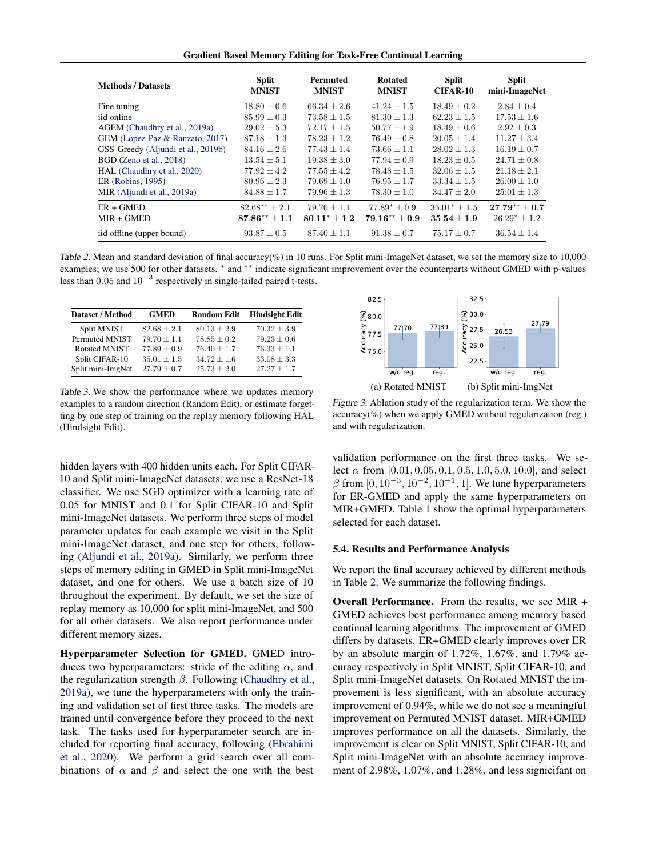Gradient Based Memory Editing for Task-Free Continual Learning

<span id="page-6-0"></span>

| <b>Methods / Datasets</b>          | <b>Split</b><br><b>MNIST</b> | <b>Permuted</b><br><b>MNIST</b> | <b>Rotated</b><br><b>MNIST</b> | <b>Split</b><br><b>CIFAR-10</b> | <b>Split</b><br>mini-ImageNet |
|------------------------------------|------------------------------|---------------------------------|--------------------------------|---------------------------------|-------------------------------|
| Fine tuning                        | $18.80 \pm 0.6$              | $66.34 + 2.6$                   | $41.24 + 1.5$                  | $18.49 + 0.2$                   | $2.84 + 0.4$                  |
| iid online                         | $85.99 \pm 0.3$              | $73.58 \pm 1.5$                 | $81.30 \pm 1.3$                | $62.23 \pm 1.5$                 | $17.53 \pm 1.6$               |
| AGEM (Chaudhry et al., 2019a)      | $29.02 \pm 5.3$              | $72.17 \pm 1.5$                 | $50.77 \pm 1.9$                | $18.49 \pm 0.6$                 | $2.92 \pm 0.3$                |
| GEM (Lopez-Paz & Ranzato, 2017)    | $87.18 + 1.3$                | $78.23 + 1.2$                   | $76.49 + 0.8$                  | $20.05 + 1.4$                   | $11.27 + 3.4$                 |
| GSS-Greedy (Aljundi et al., 2019b) | $84.16 \pm 2.6$              | $77.43 \pm 1.4$                 | $73.66 \pm 1.1$                | $28.02 \pm 1.3$                 | $16.19 \pm 0.7$               |
| BGD (Zeno et al., 2018)            | $13.54 \pm 5.1$              | $19.38 + 3.0$                   | $77.94 + 0.9$                  | $18.23 + 0.5$                   | $24.71 \pm 0.8$               |
| HAL (Chaudhry et al., 2020)        | $77.92 \pm 4.2$              | $77.55 \pm 4.2$                 | $78.48 + 1.5$                  | $32.06 + 1.5$                   | $21.18 + 2.1$                 |
| ER (Robins, 1995)                  | $80.96 \pm 2.3$              | $79.69 \pm 1.0$                 | $76.95 \pm 1.7$                | $33.34 \pm 1.5$                 | $26.00 \pm 1.0$               |
| MIR (Aljundi et al., 2019a)        | $84.88 \pm 1.7$              | $79.96 \pm 1.3$                 | $78.30 \pm 1.0$                | $34.47 \pm 2.0$                 | $25.01 \pm 1.3$               |
| $ER + GMED$                        | $82.68** \pm 2.1$            | $79.70 + 1.1$                   | $77.89^* + 0.9$                | $35.01^* \pm 1.5$               | $27.79** + 0.7$               |
| $MIR + GMED$                       | $87.86** \pm 1.1$            | $80.11^* + 1.2$                 | $79.16** + 0.9$                | $35.54 + 1.9$                   | $26.29^* \pm 1.2$             |
| iid offline (upper bound)          | $93.87 \pm 0.5$              | $87.40 \pm 1.1$                 | $91.38 \pm 0.7$                | $75.17 \pm 0.7$                 | $36.54 \pm 1.4$               |

Table 2. Mean and standard deviation of final accuracy(%) in 10 runs. For Split mini-ImageNet dataset, we set the memory size to 10,000 examples; we use 500 for other datasets. \* and \*\* indicate significant improvement over the counterparts without GMED with p-values less than 0.05 and  $10^{-3}$  respectively in single-tailed paired t-tests.

| <b>Dataset / Method</b> | <b>GMED</b>     | <b>Random Edit</b> | <b>Hindsight Edit</b> |
|-------------------------|-----------------|--------------------|-----------------------|
| Split MNIST             | $82.68 \pm 2.1$ | $80.13 \pm 2.9$    | $70.32 \pm 3.9$       |
| Permuted MNIST          | $79.70 + 1.1$   | $78.85 + 0.2$      | $79.23 \pm 0.6$       |
| <b>Rotated MNIST</b>    | $77.89 \pm 0.9$ | $76.40 \pm 1.7$    | $76.33 \pm 1.1$       |
| Split CIFAR-10          | $35.01 \pm 1.5$ | $34.72 \pm 1.6$    | $33.08 \pm 3.3$       |
| Split mini-ImgNet       | $27.79 \pm 0.7$ | $25.73 \pm 2.0$    | $27.27 + 1.7$         |

Table 3. We show the performance where we updates memory examples to a random direction (Random Edit), or estimate forgetting by one step of training on the replay memory following HAL (Hindsight Edit).

hidden layers with 400 hidden units each. For Split CIFAR-10 and Split mini-ImageNet datasets, we use a ResNet-18 classifier. We use SGD optimizer with a learning rate of 0.05 for MNIST and 0.1 for Split CIFAR-10 and Split mini-ImageNet datasets. We perform three steps of model parameter updates for each example we visit in the Split mini-ImageNet dataset, and one step for others, following [\(Aljundi et al.,](#page-8-0) [2019a\)](#page-8-0). Similarly, we perform three steps of memory editing in GMED in Split mini-ImageNet dataset, and one for others. We use a batch size of 10 throughout the experiment. By default, we set the size of replay memory as 10,000 for split mini-ImageNet, and 500 for all other datasets. We also report performance under different memory sizes.

Hyperparameter Selection for GMED. GMED introduces two hyperparameters: stride of the editing  $\alpha$ , and the regularization strength  $\beta$ . Following [\(Chaudhry et al.,](#page-8-0) [2019a\)](#page-8-0), we tune the hyperparameters with only the training and validation set of first three tasks. The models are trained until convergence before they proceed to the next task. The tasks used for hyperparameter search are included for reporting final accuracy, following [\(Ebrahimi](#page-8-0) [et al.,](#page-8-0) [2020\)](#page-8-0). We perform a grid search over all combinations of  $\alpha$  and  $\beta$  and select the one with the best



Figure 3. Ablation study of the regularization term. We show the accuracy(%) when we apply GMED without regularization (reg.) and with regularization.

validation performance on the first three tasks. We select  $\alpha$  from [0.01, 0.05, 0.1, 0.5, 1.0, 5.0, 10.0], and select  $\beta$  from  $[0, 10^{-3}, 10^{-2}, 10^{-1}, 1]$ . We tune hyperparameters for ER-GMED and apply the same hyperparameters on MIR+GMED. Table [1](#page-5-0) show the optimal hyperparameters selected for each dataset.

#### 5.4. Results and Performance Analysis

We report the final accuracy achieved by different methods in Table 2. We summarize the following findings.

Overall Performance. From the results, we see MIR + GMED achieves best performance among memory based continual learning algorithms. The improvement of GMED differs by datasets. ER+GMED clearly improves over ER by an absolute margin of 1.72%, 1.67%, and 1.79% accuracy respectively in Split MNIST, Split CIFAR-10, and Split mini-ImageNet datasets. On Rotated MNIST the improvement is less significant, with an absolute accuracy improvement of 0.94%, while we do not see a meaningful improvement on Permuted MNIST dataset. MIR+GMED improves performance on all the datasets. Similarly, the improvement is clear on Split MNIST, Split CIFAR-10, and Split mini-ImageNet with an absolute accuracy improvement of 2.98%, 1.07%, and 1.28%, and less signicifant on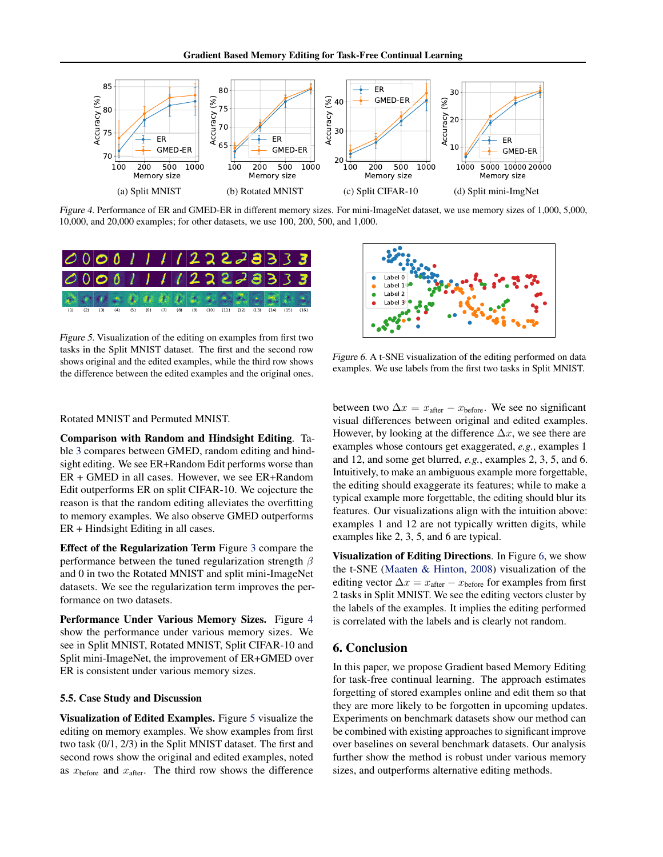

Figure 4. Performance of ER and GMED-ER in different memory sizes. For mini-ImageNet dataset, we use memory sizes of 1,000, 5,000, 10,000, and 20,000 examples; for other datasets, we use 100, 200, 500, and 1,000.



Figure 5. Visualization of the editing on examples from first two tasks in the Split MNIST dataset. The first and the second row shows original and the edited examples, while the third row shows the difference between the edited examples and the original ones.



Figure 6. A t-SNE visualization of the editing performed on data examples. We use labels from the first two tasks in Split MNIST.

Rotated MNIST and Permuted MNIST.

Comparison with Random and Hindsight Editing. Table [3](#page-6-0) compares between GMED, random editing and hindsight editing. We see ER+Random Edit performs worse than ER + GMED in all cases. However, we see ER+Random Edit outperforms ER on split CIFAR-10. We cojecture the reason is that the random editing alleviates the overfitting to memory examples. We also observe GMED outperforms ER + Hindsight Editing in all cases.

Effect of the Regularization Term Figure [3](#page-6-0) compare the performance between the tuned regularization strength  $\beta$ and 0 in two the Rotated MNIST and split mini-ImageNet datasets. We see the regularization term improves the performance on two datasets.

Performance Under Various Memory Sizes. Figure 4 show the performance under various memory sizes. We see in Split MNIST, Rotated MNIST, Split CIFAR-10 and Split mini-ImageNet, the improvement of ER+GMED over ER is consistent under various memory sizes.

#### 5.5. Case Study and Discussion

Visualization of Edited Examples. Figure 5 visualize the editing on memory examples. We show examples from first two task (0/1, 2/3) in the Split MNIST dataset. The first and second rows show the original and edited examples, noted as  $x<sub>before</sub>$  and  $x<sub>after</sub>$ . The third row shows the difference between two  $\Delta x = x_{\text{after}} - x_{\text{before}}$ . We see no significant visual differences between original and edited examples. However, by looking at the difference  $\Delta x$ , we see there are examples whose contours get exaggerated, *e.g.*, examples 1 and 12, and some get blurred, *e.g.*, examples 2, 3, 5, and 6. Intuitively, to make an ambiguous example more forgettable, the editing should exaggerate its features; while to make a typical example more forgettable, the editing should blur its features. Our visualizations align with the intuition above: examples 1 and 12 are not typically written digits, while examples like 2, 3, 5, and 6 are typical.

Visualization of Editing Directions. In Figure 6, we show the t-SNE [\(Maaten & Hinton,](#page-8-0) [2008\)](#page-8-0) visualization of the editing vector  $\Delta x = x_{\text{after}} - x_{\text{before}}$  for examples from first 2 tasks in Split MNIST. We see the editing vectors cluster by the labels of the examples. It implies the editing performed is correlated with the labels and is clearly not random.

## 6. Conclusion

In this paper, we propose Gradient based Memory Editing for task-free continual learning. The approach estimates forgetting of stored examples online and edit them so that they are more likely to be forgotten in upcoming updates. Experiments on benchmark datasets show our method can be combined with existing approaches to significant improve over baselines on several benchmark datasets. Our analysis further show the method is robust under various memory sizes, and outperforms alternative editing methods.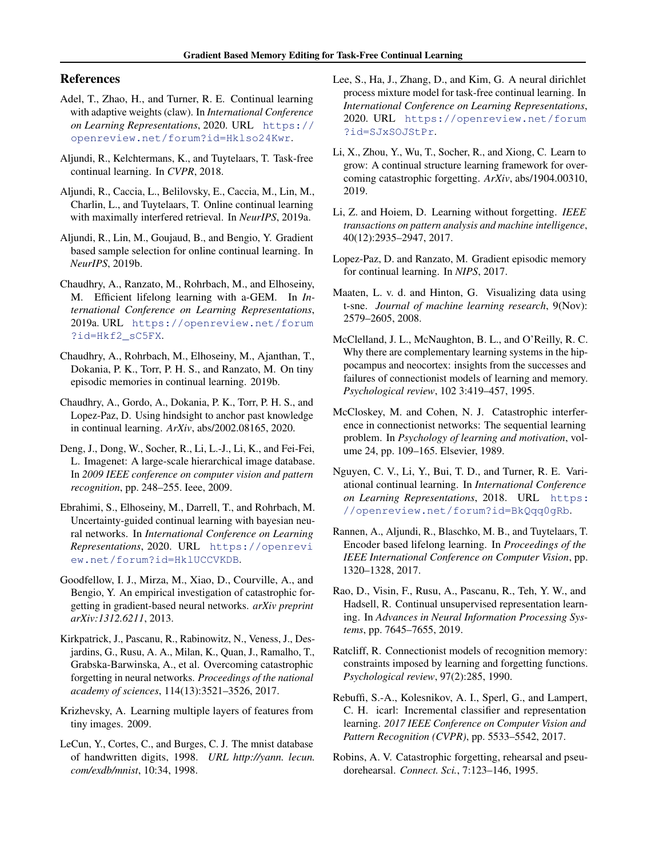## <span id="page-8-0"></span>References

- Adel, T., Zhao, H., and Turner, R. E. Continual learning with adaptive weights (claw). In *International Conference on Learning Representations*, 2020. URL [https://](https://openreview.net/forum?id=Hklso24Kwr) [openreview.net/forum?id=Hklso24Kwr](https://openreview.net/forum?id=Hklso24Kwr).
- Aljundi, R., Kelchtermans, K., and Tuytelaars, T. Task-free continual learning. In *CVPR*, 2018.
- Aljundi, R., Caccia, L., Belilovsky, E., Caccia, M., Lin, M., Charlin, L., and Tuytelaars, T. Online continual learning with maximally interfered retrieval. In *NeurIPS*, 2019a.
- Aljundi, R., Lin, M., Goujaud, B., and Bengio, Y. Gradient based sample selection for online continual learning. In *NeurIPS*, 2019b.
- Chaudhry, A., Ranzato, M., Rohrbach, M., and Elhoseiny, M. Efficient lifelong learning with a-GEM. In *International Conference on Learning Representations*, 2019a. URL [https://openreview.net/forum](https://openreview.net/forum?id=Hkf2_sC5FX) [?id=Hkf2\\_sC5FX](https://openreview.net/forum?id=Hkf2_sC5FX).
- Chaudhry, A., Rohrbach, M., Elhoseiny, M., Ajanthan, T., Dokania, P. K., Torr, P. H. S., and Ranzato, M. On tiny episodic memories in continual learning. 2019b.
- Chaudhry, A., Gordo, A., Dokania, P. K., Torr, P. H. S., and Lopez-Paz, D. Using hindsight to anchor past knowledge in continual learning. *ArXiv*, abs/2002.08165, 2020.
- Deng, J., Dong, W., Socher, R., Li, L.-J., Li, K., and Fei-Fei, L. Imagenet: A large-scale hierarchical image database. In *2009 IEEE conference on computer vision and pattern recognition*, pp. 248–255. Ieee, 2009.
- Ebrahimi, S., Elhoseiny, M., Darrell, T., and Rohrbach, M. Uncertainty-guided continual learning with bayesian neural networks. In *International Conference on Learning Representations*, 2020. URL [https://openrevi](https://openreview.net/forum?id=HklUCCVKDB) [ew.net/forum?id=HklUCCVKDB](https://openreview.net/forum?id=HklUCCVKDB).
- Goodfellow, I. J., Mirza, M., Xiao, D., Courville, A., and Bengio, Y. An empirical investigation of catastrophic forgetting in gradient-based neural networks. *arXiv preprint arXiv:1312.6211*, 2013.
- Kirkpatrick, J., Pascanu, R., Rabinowitz, N., Veness, J., Desjardins, G., Rusu, A. A., Milan, K., Quan, J., Ramalho, T., Grabska-Barwinska, A., et al. Overcoming catastrophic forgetting in neural networks. *Proceedings of the national academy of sciences*, 114(13):3521–3526, 2017.
- Krizhevsky, A. Learning multiple layers of features from tiny images. 2009.
- LeCun, Y., Cortes, C., and Burges, C. J. The mnist database of handwritten digits, 1998. *URL http://yann. lecun. com/exdb/mnist*, 10:34, 1998.
- Lee, S., Ha, J., Zhang, D., and Kim, G. A neural dirichlet process mixture model for task-free continual learning. In *International Conference on Learning Representations*, 2020. URL [https://openreview.net/forum](https://openreview.net/forum?id=SJxSOJStPr) [?id=SJxSOJStPr](https://openreview.net/forum?id=SJxSOJStPr).
- Li, X., Zhou, Y., Wu, T., Socher, R., and Xiong, C. Learn to grow: A continual structure learning framework for overcoming catastrophic forgetting. *ArXiv*, abs/1904.00310, 2019.
- Li, Z. and Hoiem, D. Learning without forgetting. *IEEE transactions on pattern analysis and machine intelligence*, 40(12):2935–2947, 2017.
- Lopez-Paz, D. and Ranzato, M. Gradient episodic memory for continual learning. In *NIPS*, 2017.
- Maaten, L. v. d. and Hinton, G. Visualizing data using t-sne. *Journal of machine learning research*, 9(Nov): 2579–2605, 2008.
- McClelland, J. L., McNaughton, B. L., and O'Reilly, R. C. Why there are complementary learning systems in the hippocampus and neocortex: insights from the successes and failures of connectionist models of learning and memory. *Psychological review*, 102 3:419–457, 1995.
- McCloskey, M. and Cohen, N. J. Catastrophic interference in connectionist networks: The sequential learning problem. In *Psychology of learning and motivation*, volume 24, pp. 109–165. Elsevier, 1989.
- Nguyen, C. V., Li, Y., Bui, T. D., and Turner, R. E. Variational continual learning. In *International Conference on Learning Representations*, 2018. URL [https:](https://openreview.net/forum?id=BkQqq0gRb) [//openreview.net/forum?id=BkQqq0gRb](https://openreview.net/forum?id=BkQqq0gRb).
- Rannen, A., Aljundi, R., Blaschko, M. B., and Tuytelaars, T. Encoder based lifelong learning. In *Proceedings of the IEEE International Conference on Computer Vision*, pp. 1320–1328, 2017.
- Rao, D., Visin, F., Rusu, A., Pascanu, R., Teh, Y. W., and Hadsell, R. Continual unsupervised representation learning. In *Advances in Neural Information Processing Systems*, pp. 7645–7655, 2019.
- Ratcliff, R. Connectionist models of recognition memory: constraints imposed by learning and forgetting functions. *Psychological review*, 97(2):285, 1990.
- Rebuffi, S.-A., Kolesnikov, A. I., Sperl, G., and Lampert, C. H. icarl: Incremental classifier and representation learning. *2017 IEEE Conference on Computer Vision and Pattern Recognition (CVPR)*, pp. 5533–5542, 2017.
- Robins, A. V. Catastrophic forgetting, rehearsal and pseudorehearsal. *Connect. Sci.*, 7:123–146, 1995.